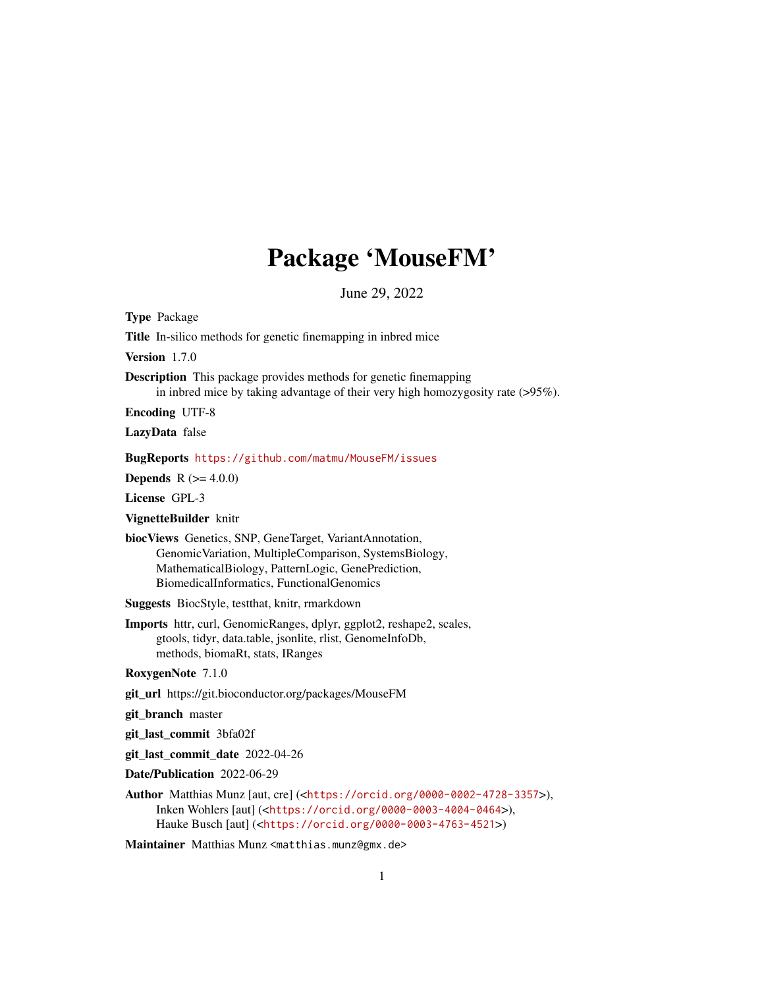# Package 'MouseFM'

June 29, 2022

Type Package Title In-silico methods for genetic finemapping in inbred mice Version 1.7.0 Description This package provides methods for genetic finemapping in inbred mice by taking advantage of their very high homozygosity rate (>95%). Encoding UTF-8 LazyData false BugReports <https://github.com/matmu/MouseFM/issues> **Depends** R  $(>= 4.0.0)$ License GPL-3 VignetteBuilder knitr biocViews Genetics, SNP, GeneTarget, VariantAnnotation, GenomicVariation, MultipleComparison, SystemsBiology, MathematicalBiology, PatternLogic, GenePrediction, BiomedicalInformatics, FunctionalGenomics Suggests BiocStyle, testthat, knitr, rmarkdown Imports httr, curl, GenomicRanges, dplyr, ggplot2, reshape2, scales, gtools, tidyr, data.table, jsonlite, rlist, GenomeInfoDb, methods, biomaRt, stats, IRanges RoxygenNote 7.1.0 git\_url https://git.bioconductor.org/packages/MouseFM git\_branch master git\_last\_commit 3bfa02f git\_last\_commit\_date 2022-04-26 Date/Publication 2022-06-29 Author Matthias Munz [aut, cre] (<<https://orcid.org/0000-0002-4728-3357>>), Inken Wohlers [aut] (<<https://orcid.org/0000-0003-4004-0464>>), Hauke Busch [aut] (<<https://orcid.org/0000-0003-4763-4521>>) Maintainer Matthias Munz <matthias.munz@gmx.de>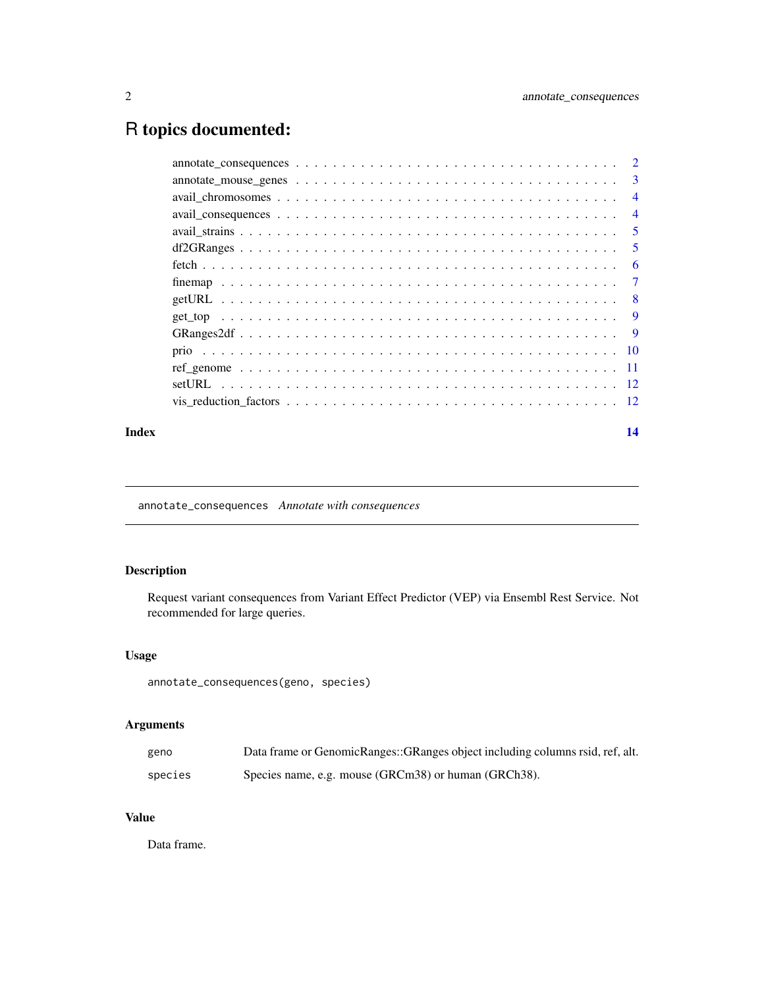## <span id="page-1-0"></span>R topics documented:

|  | 3              |
|--|----------------|
|  | $\overline{4}$ |
|  | $\overline{4}$ |
|  | -5             |
|  | 5              |
|  | 6              |
|  | $\overline{7}$ |
|  | - 8            |
|  | <b>9</b>       |
|  | - 9            |
|  |                |
|  |                |
|  |                |
|  |                |
|  |                |

#### **Index** 2008 **[14](#page-13-0)**

annotate\_consequences *Annotate with consequences*

#### Description

Request variant consequences from Variant Effect Predictor (VEP) via Ensembl Rest Service. Not recommended for large queries.

#### Usage

annotate\_consequences(geno, species)

#### Arguments

| geno    | Data frame or GenomicRanges::GRanges object including columns rsid, ref, alt. |
|---------|-------------------------------------------------------------------------------|
| species | Species name, e.g. mouse (GRCm38) or human (GRCh38).                          |

#### Value

Data frame.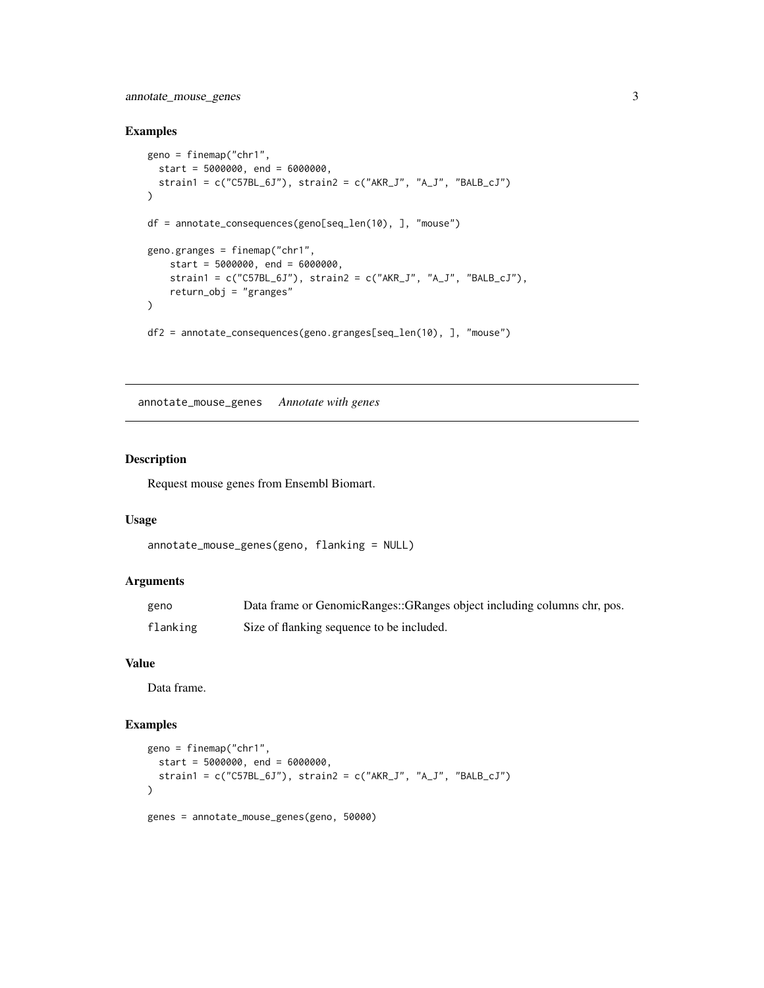#### <span id="page-2-0"></span>annotate\_mouse\_genes 3

#### Examples

```
geno = finemap("chr1",
 start = 5000000, end = 6000000,
  strain1 = c("C57BL_6J"), strain2 = c("AKR_J", "A_J", "BALB_cJ")
\lambdadf = annotate_consequences(geno[seq_len(10), ], "mouse")
geno.granges = finemap("chr1",
   start = 5000000, end = 6000000,
   strain1 = c("C57BL_6J"), strain2 = c("AKR_J", "A_J", "BALB_cJ"),
   return_obj = "granges"
)
df2 = annotate_consequences(geno.granges[seq_len(10), ], "mouse")
```
annotate\_mouse\_genes *Annotate with genes*

#### Description

Request mouse genes from Ensembl Biomart.

#### Usage

```
annotate_mouse_genes(geno, flanking = NULL)
```
#### Arguments

| geno     | Data frame or GenomicRanges::GRanges object including columns chr, pos. |
|----------|-------------------------------------------------------------------------|
| flanking | Size of flanking sequence to be included.                               |

#### Value

Data frame.

#### Examples

```
geno = finemap("chr1",
  start = 5000000, end = 6000000,
  strain1 = c("C57BL_6J"), strain2 = c("AKR_J", "A_J", "BALB_cJ")
)
genes = annotate_mouse_genes(geno, 50000)
```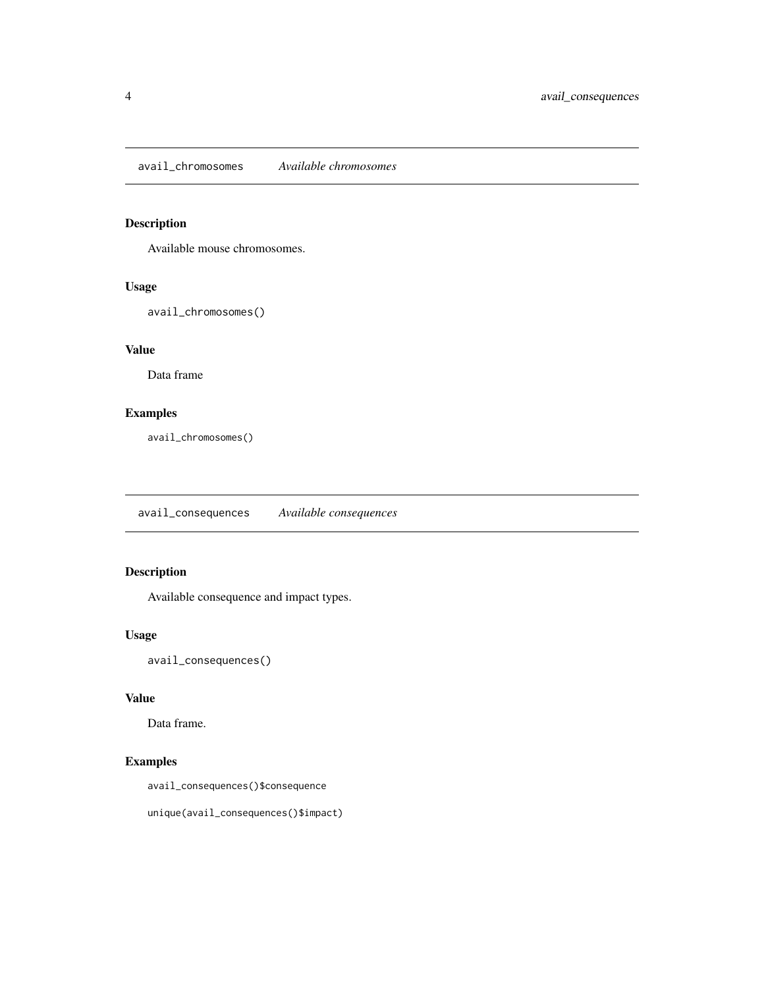<span id="page-3-0"></span>avail\_chromosomes *Available chromosomes*

### Description

Available mouse chromosomes.

#### Usage

avail\_chromosomes()

#### Value

Data frame

#### Examples

avail\_chromosomes()

avail\_consequences *Available consequences*

#### Description

Available consequence and impact types.

#### Usage

avail\_consequences()

#### Value

Data frame.

#### Examples

avail\_consequences()\$consequence

unique(avail\_consequences()\$impact)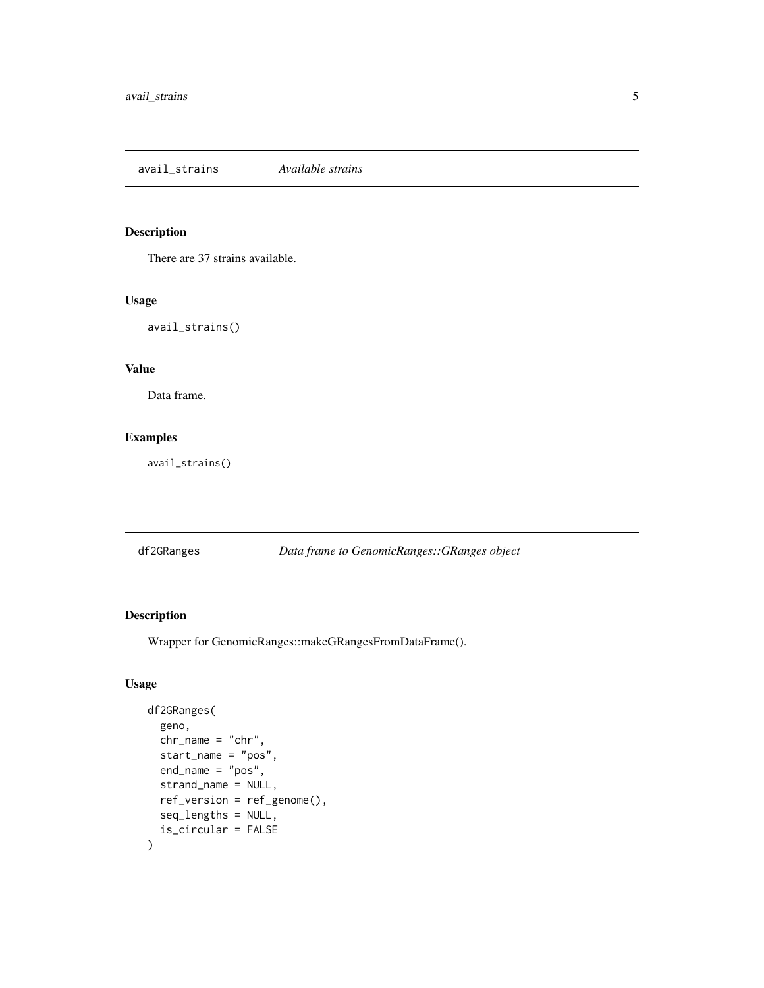<span id="page-4-0"></span>avail\_strains *Available strains*

#### Description

There are 37 strains available.

#### Usage

avail\_strains()

#### Value

Data frame.

#### Examples

avail\_strains()

df2GRanges *Data frame to GenomicRanges::GRanges object*

#### Description

Wrapper for GenomicRanges::makeGRangesFromDataFrame().

#### Usage

```
df2GRanges(
  geno,
  chr_name = "chr",
  start_name = "pos",
  end_name = "pos",strand_name = NULL,
  ref_version = ref_genome(),
  seq_lengths = NULL,
  is_circular = FALSE
)
```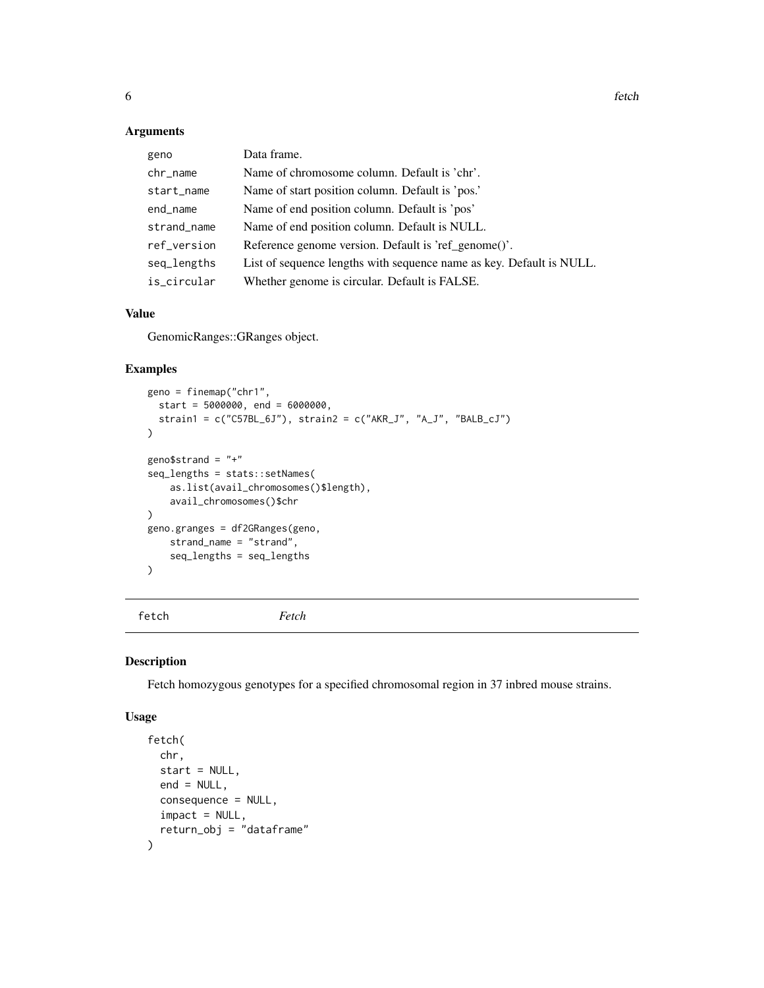#### <span id="page-5-0"></span>Arguments

| geno        | Data frame.                                                          |
|-------------|----------------------------------------------------------------------|
| chr_name    | Name of chromosome column. Default is 'chr'.                         |
| start_name  | Name of start position column. Default is 'pos.'                     |
| end_name    | Name of end position column. Default is 'pos'                        |
| strand_name | Name of end position column. Default is NULL.                        |
| ref_version | Reference genome version. Default is 'ref_genome()'.                 |
| seq_lengths | List of sequence lengths with sequence name as key. Default is NULL. |
| is circular | Whether genome is circular. Default is FALSE.                        |

#### Value

GenomicRanges::GRanges object.

#### Examples

```
geno = finemap("chr1",
  start = 5000000, end = 6000000,
  strain1 = c("C57BL_6J"), strain2 = c("AKR_J", "A_J", "BALB_cJ")
\overline{)}geno$strand = "+"
seq_lengths = stats::setNames(
    as.list(avail_chromosomes()$length),
    avail_chromosomes()$chr
\mathcal{L}geno.granges = df2GRanges(geno,
    strand_name = "strand",
    seq_lengths = seq_lengths
)
```
fetch *Fetch*

#### Description

Fetch homozygous genotypes for a specified chromosomal region in 37 inbred mouse strains.

#### Usage

```
fetch(
 chr,
  start = NULL,
 end = NULL,consequence = NULL,
  import = NULL,return_obj = "dataframe"
)
```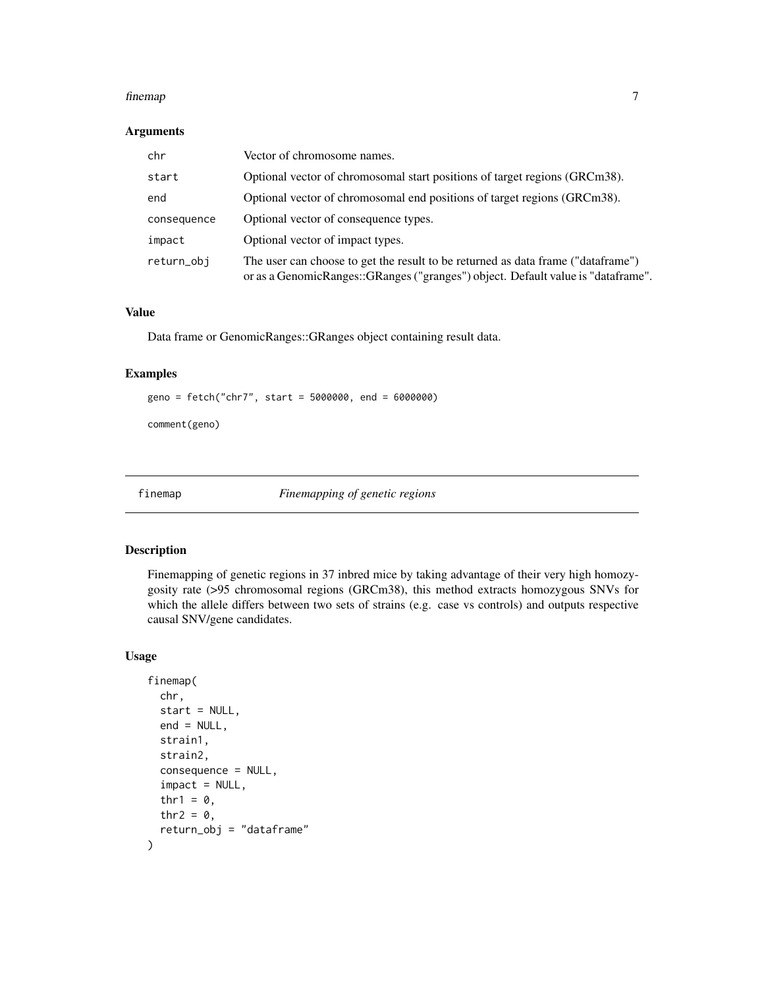#### <span id="page-6-0"></span>finemap 7 and 2008 and 2008 and 2008 and 2008 and 2008 and 2008 and 2008 and 2008 and 2008 and 2008 and 2008 and 2008 and 2008 and 2008 and 2008 and 2008 and 2008 and 2008 and 2008 and 2008 and 2008 and 2008 and 2008 and 2

#### Arguments

| chr         | Vector of chromosome names.                                                                                                                                          |
|-------------|----------------------------------------------------------------------------------------------------------------------------------------------------------------------|
| start       | Optional vector of chromosomal start positions of target regions (GRCm38).                                                                                           |
| end         | Optional vector of chromosomal end positions of target regions (GRCm38).                                                                                             |
| consequence | Optional vector of consequence types.                                                                                                                                |
| impact      | Optional vector of impact types.                                                                                                                                     |
| return_obj  | The user can choose to get the result to be returned as data frame ("dataframe")<br>or as a GenomicRanges::GRanges ("granges") object. Default value is "dataframe". |

#### Value

Data frame or GenomicRanges::GRanges object containing result data.

#### Examples

geno = fetch("chr7", start = 5000000, end = 6000000)

comment(geno)

finemap *Finemapping of genetic regions*

#### Description

Finemapping of genetic regions in 37 inbred mice by taking advantage of their very high homozygosity rate (>95 chromosomal regions (GRCm38), this method extracts homozygous SNVs for which the allele differs between two sets of strains (e.g. case vs controls) and outputs respective causal SNV/gene candidates.

#### Usage

```
finemap(
 chr,
  start = NULL,
 end = NULL,strain1,
  strain2,
  consequence = NULL,
  import = NULL,thr1 = 0,
  thr2 = \theta,
  return_obj = "dataframe"
)
```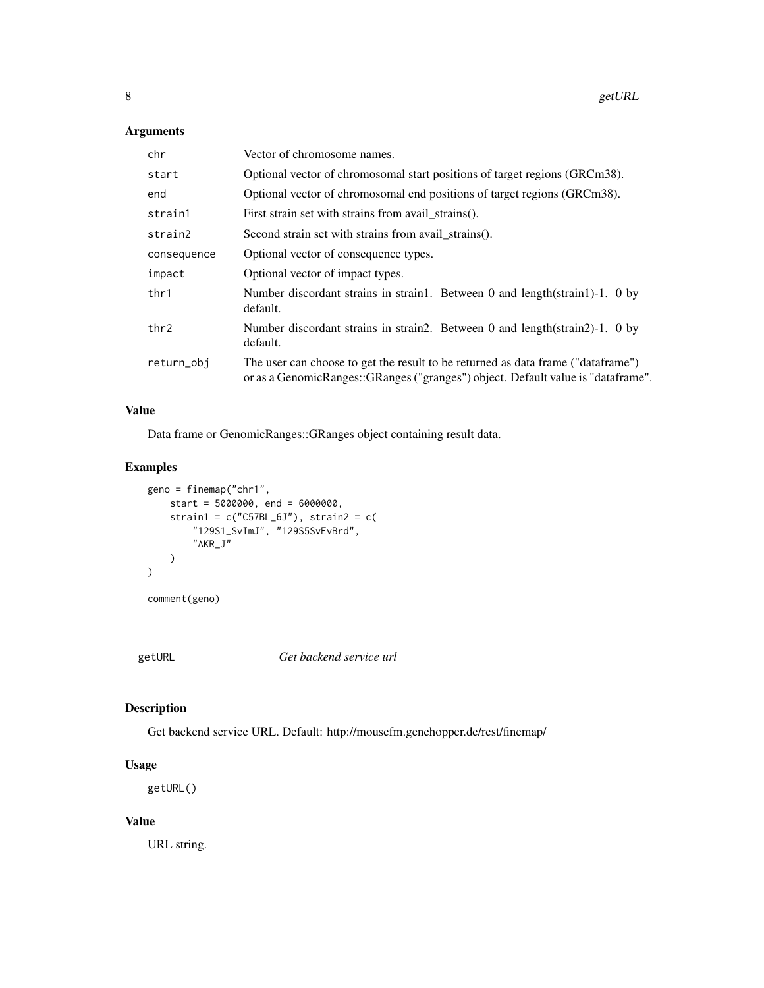#### <span id="page-7-0"></span>Arguments

| chr         | Vector of chromosome names.                                                                                                                                           |
|-------------|-----------------------------------------------------------------------------------------------------------------------------------------------------------------------|
| start       | Optional vector of chromosomal start positions of target regions (GRCm38).                                                                                            |
| end         | Optional vector of chromosomal end positions of target regions (GRCm38).                                                                                              |
| strain1     | First strain set with strains from avail_strains().                                                                                                                   |
| strain2     | Second strain set with strains from avail_strains().                                                                                                                  |
| consequence | Optional vector of consequence types.                                                                                                                                 |
| impact      | Optional vector of impact types.                                                                                                                                      |
| thr1        | Number discordant strains in strain1. Between 0 and length(strain1)-1. 0 by<br>default.                                                                               |
| thr2        | Number discordant strains in strain2. Between 0 and length(strain2)-1. 0 by<br>default.                                                                               |
| return_obj  | The user can choose to get the result to be returned as data frame ("data frame")<br>or as a GenomicRanges::GRanges ("granges") object. Default value is "dataframe". |

#### Value

Data frame or GenomicRanges::GRanges object containing result data.

#### Examples

```
geno = finemap("chr1",
   start = 5000000, end = 6000000,
    strain1 = c("C57BL_6J"), strain2 = c("129S1_SvImJ", "129S5SvEvBrd",
        "AKR_J"
    )
\mathcal{L}
```
comment(geno)

getURL *Get backend service url*

#### Description

Get backend service URL. Default: http://mousefm.genehopper.de/rest/finemap/

#### Usage

getURL()

#### Value

URL string.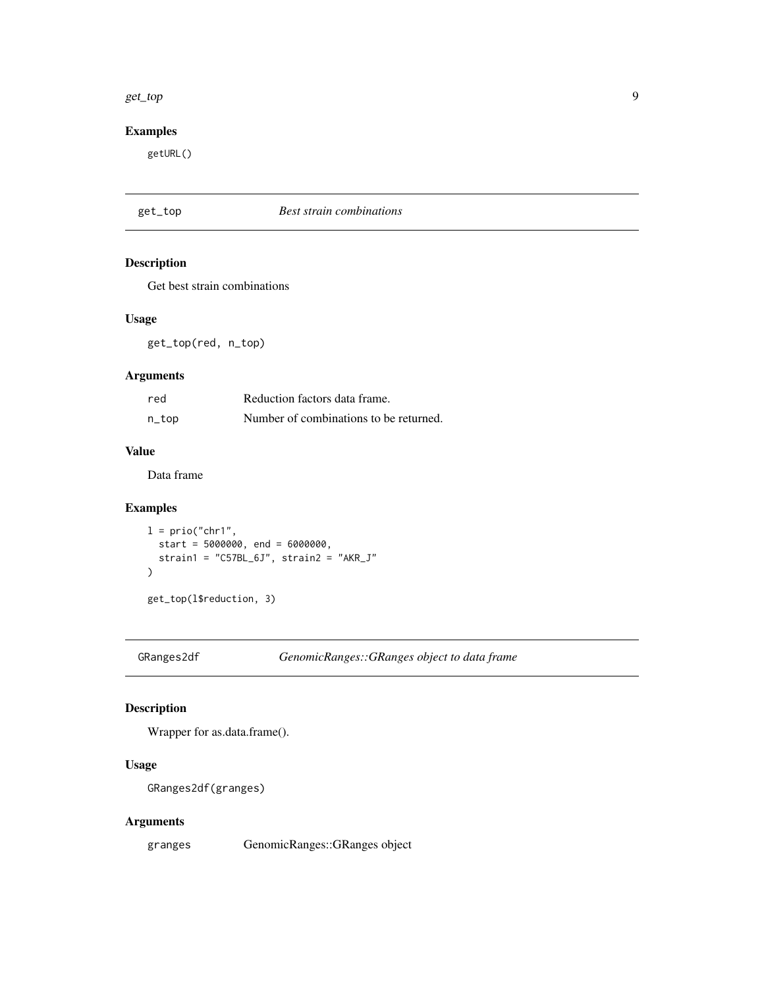#### <span id="page-8-0"></span>get\_top 9

#### Examples

getURL()

| get_top | <b>Best strain combinations</b> |
|---------|---------------------------------|
|---------|---------------------------------|

#### Description

Get best strain combinations

#### Usage

get\_top(red, n\_top)

#### Arguments

| red   | Reduction factors data frame.          |
|-------|----------------------------------------|
| n_top | Number of combinations to be returned. |

#### Value

Data frame

#### Examples

```
l = \text{prio("chr1",start = 5000000, end = 6000000,
  strain = "C57BL_6J", strain2 = "AKR_J"\lambdaget_top(l$reduction, 3)
```
GRanges2df *GenomicRanges::GRanges object to data frame*

#### Description

Wrapper for as.data.frame().

#### Usage

```
GRanges2df(granges)
```
#### Arguments

granges GenomicRanges::GRanges object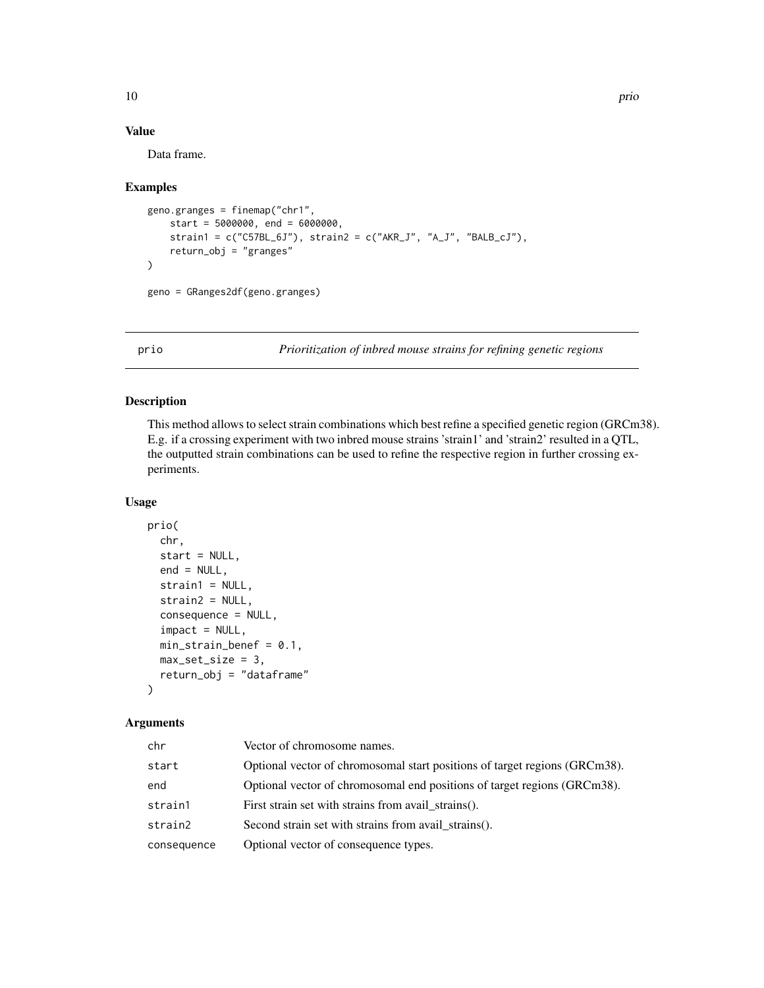#### Value

Data frame.

#### Examples

```
geno.granges = finemap("chr1",
   start = 5000000, end = 6000000,
    strain1 = c("C57BL_6J"), strain2 = c("AKR_J", "A_J", "BALB_cJ"),
   return_obj = "granges"
)
geno = GRanges2df(geno.granges)
```
prio *Prioritization of inbred mouse strains for refining genetic regions*

#### Description

This method allows to select strain combinations which best refine a specified genetic region (GRCm38). E.g. if a crossing experiment with two inbred mouse strains 'strain1' and 'strain2' resulted in a QTL, the outputted strain combinations can be used to refine the respective region in further crossing experiments.

#### Usage

```
prio(
  chr,
  start = NULL,
 end = NULL,strain1 = NULL,
  strain2 = NULL,
  consequence = NULL,
  impact = NULL,
 min\_strain\_benef = 0.1,
 max_set_size = 3,
  return_obj = "dataframe"
)
```
#### Arguments

| chr         | Vector of chromosome names.                                                |
|-------------|----------------------------------------------------------------------------|
| start       | Optional vector of chromosomal start positions of target regions (GRCm38). |
| end         | Optional vector of chromosomal end positions of target regions (GRCm38).   |
| strain1     | First strain set with strains from avail strains().                        |
| strain2     | Second strain set with strains from avail_strains().                       |
| consequence | Optional vector of consequence types.                                      |

<span id="page-9-0"></span>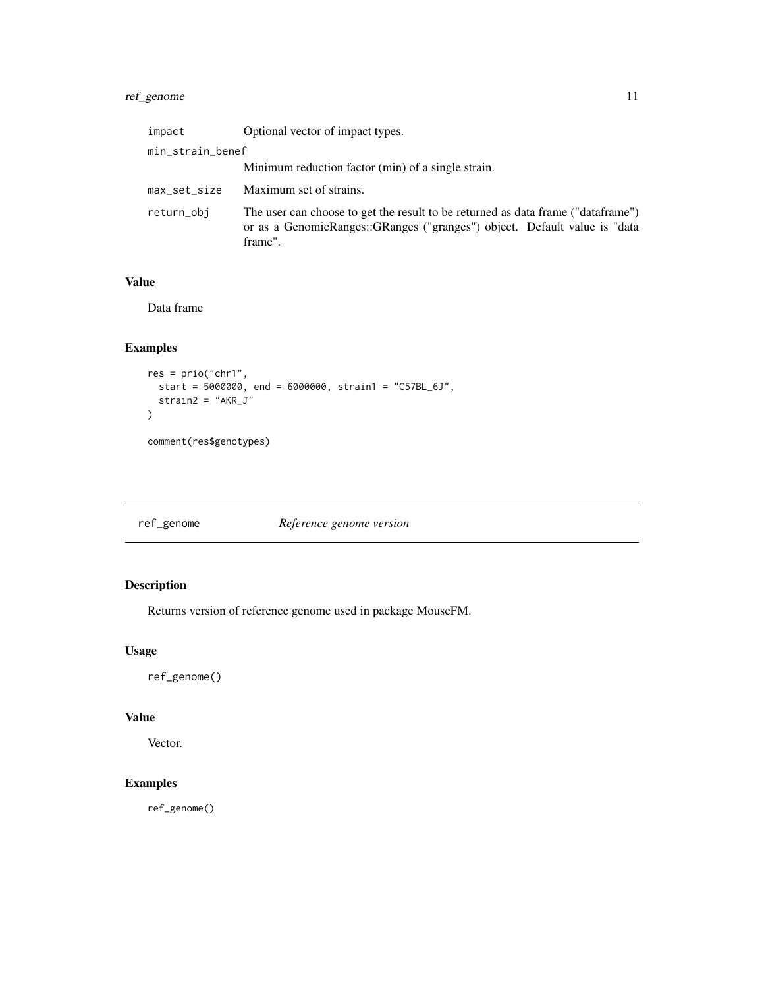#### <span id="page-10-0"></span>ref\_genome 11

| impact           | Optional vector of impact types.                                                                                                                                         |
|------------------|--------------------------------------------------------------------------------------------------------------------------------------------------------------------------|
| min_strain_benef |                                                                                                                                                                          |
|                  | Minimum reduction factor (min) of a single strain.                                                                                                                       |
| max_set_size     | Maximum set of strains.                                                                                                                                                  |
| return_obi       | The user can choose to get the result to be returned as data frame ("dataframe")<br>or as a GenomicRanges::GRanges ("granges") object. Default value is "data<br>frame". |

#### Value

Data frame

#### Examples

```
res = prio("chr1",
  start = 5000000, end = 6000000, strain1 = "C57BL_6J",
  strain2 = "AKR_J"\mathcal{L}comment(res$genotypes)
```
ref\_genome *Reference genome version*

#### Description

Returns version of reference genome used in package MouseFM.

#### Usage

ref\_genome()

#### Value

Vector.

#### Examples

ref\_genome()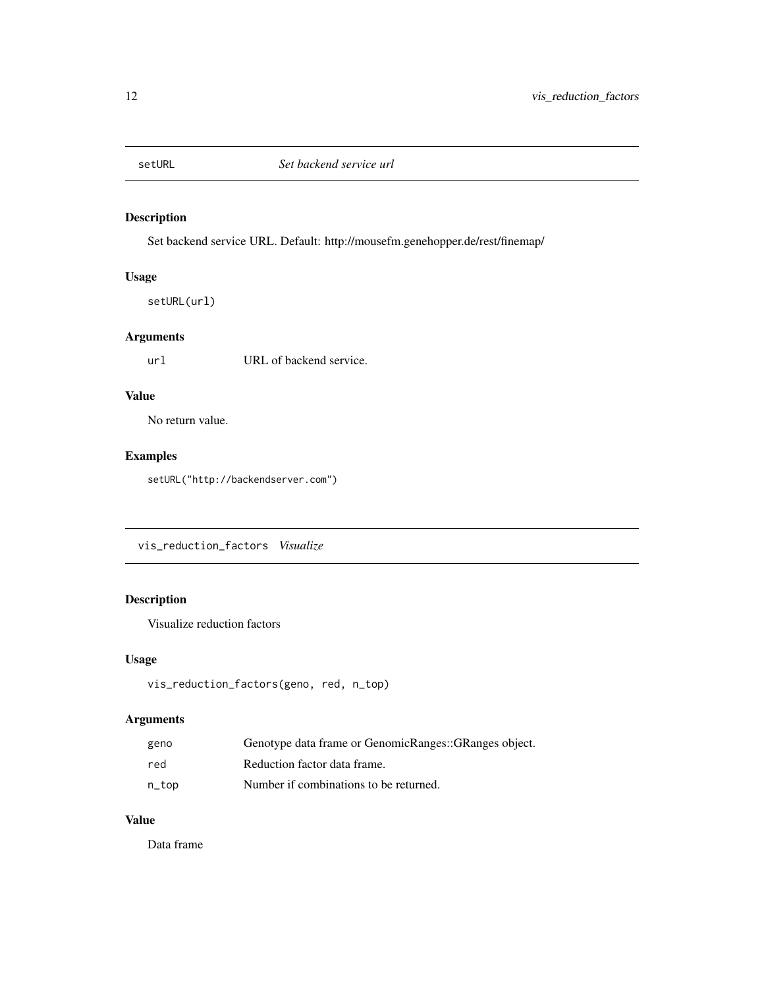<span id="page-11-0"></span>

#### Description

Set backend service URL. Default: http://mousefm.genehopper.de/rest/finemap/

#### Usage

setURL(url)

#### Arguments

url URL of backend service.

#### Value

No return value.

#### Examples

setURL("http://backendserver.com")

vis\_reduction\_factors *Visualize*

#### Description

Visualize reduction factors

#### Usage

```
vis_reduction_factors(geno, red, n_top)
```
#### Arguments

| geno  | Genotype data frame or GenomicRanges::GRanges object. |
|-------|-------------------------------------------------------|
| red   | Reduction factor data frame.                          |
| n_top | Number if combinations to be returned.                |

#### Value

Data frame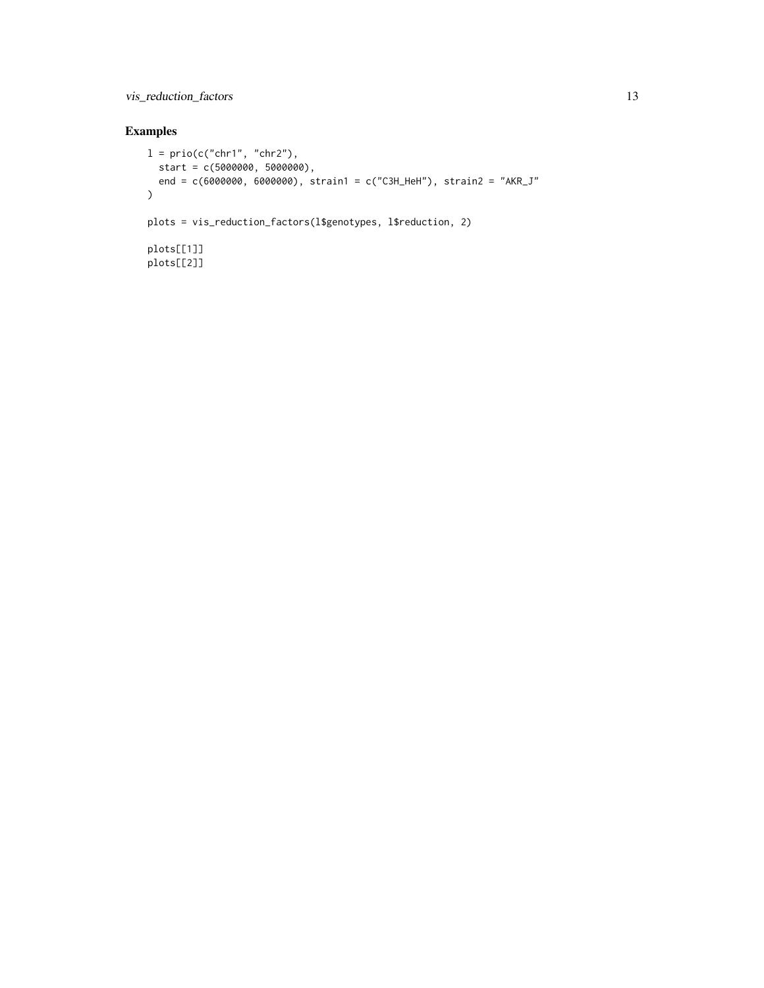vis\_reduction\_factors 13

#### Examples

```
l = \text{prio}(c("chr1", "chr2"),start = c(5000000, 5000000),
 end = c(6000000, 6000000), strain1 = c("C3H_HeH"), strain2 = "AKR_J"
\lambdaplots = vis_reduction_factors(l$genotypes, l$reduction, 2)
plots[[1]]
plots[[2]]
```